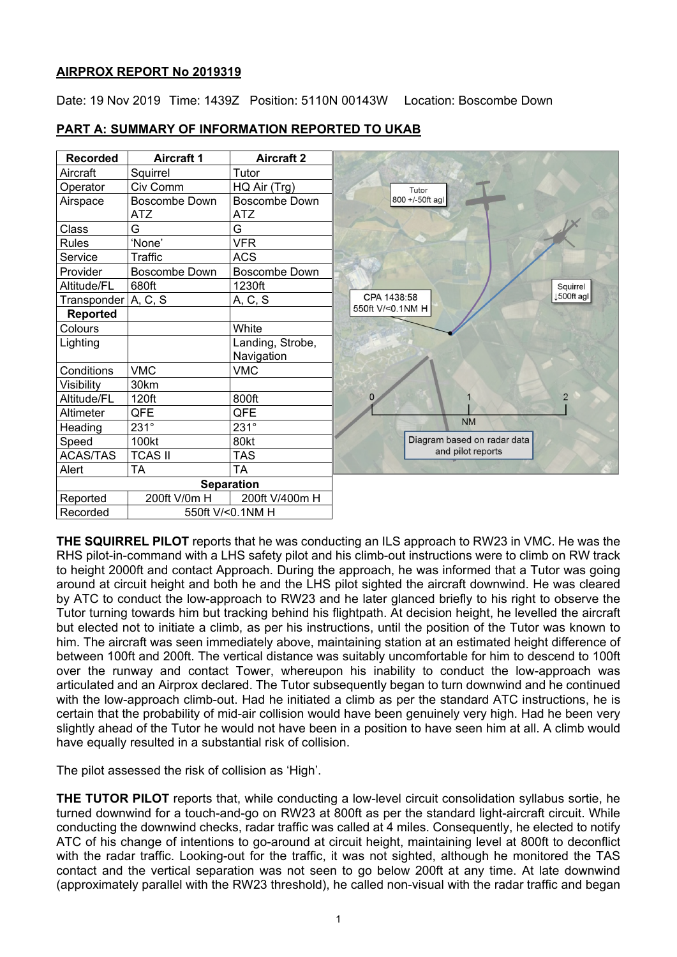## **AIRPROX REPORT No 2019319**

Date: 19 Nov 2019 Time: 1439Z Position: 5110N 00143W Location: Boscombe Down

| <b>Recorded</b> | <b>Aircraft 1</b>                  | <b>Aircraft 2</b>              |                             |
|-----------------|------------------------------------|--------------------------------|-----------------------------|
| Aircraft        | Squirrel                           | Tutor                          |                             |
| Operator        | Civ Comm                           | HQ Air (Trg)                   | Tutor                       |
| Airspace        | <b>Boscombe Down</b><br><b>ATZ</b> | Boscombe Down<br><b>ATZ</b>    | 800 +/-50ft agl             |
| Class           | G                                  | G                              |                             |
| <b>Rules</b>    | 'None'                             | <b>VFR</b>                     |                             |
| Service         | <b>Traffic</b>                     | <b>ACS</b>                     |                             |
| Provider        | <b>Boscombe Down</b>               | Boscombe Down                  |                             |
| Altitude/FL     | 680ft                              | 1230ft                         | Squirrel                    |
| Transponder     | A, C, S                            | A, C, S                        | CPA 1438:58<br>↓500ft agl   |
| <b>Reported</b> |                                    |                                | 550ft V/<0.1NM H            |
| Colours         |                                    | White                          |                             |
| Lighting        |                                    | Landing, Strobe,<br>Navigation |                             |
| Conditions      | <b>VMC</b>                         | <b>VMC</b>                     |                             |
| Visibility      | 30km                               |                                |                             |
| Altitude/FL     | 120ft                              | 800ft                          | $\overline{2}$<br>0         |
| Altimeter       | QFE                                | QFE                            |                             |
| Heading         | $231^\circ$                        | $231^\circ$                    | <b>NM</b>                   |
| Speed           | 100kt                              | 80kt                           | Diagram based on radar data |
| <b>ACAS/TAS</b> | <b>TCAS II</b>                     | <b>TAS</b>                     | and pilot reports           |
| Alert           | <b>TA</b>                          | <b>TA</b>                      |                             |
|                 |                                    | <b>Separation</b>              |                             |
| Reported        | 200ft V/0m H                       | 200ft V/400m H                 |                             |
| Recorded        |                                    | 550ft V/<0.1NM H               |                             |

# **PART A: SUMMARY OF INFORMATION REPORTED TO UKAB**

**THE SQUIRREL PILOT** reports that he was conducting an ILS approach to RW23 in VMC. He was the RHS pilot-in-command with a LHS safety pilot and his climb-out instructions were to climb on RW track to height 2000ft and contact Approach. During the approach, he was informed that a Tutor was going around at circuit height and both he and the LHS pilot sighted the aircraft downwind. He was cleared by ATC to conduct the low-approach to RW23 and he later glanced briefly to his right to observe the Tutor turning towards him but tracking behind his flightpath. At decision height, he levelled the aircraft but elected not to initiate a climb, as per his instructions, until the position of the Tutor was known to him. The aircraft was seen immediately above, maintaining station at an estimated height difference of between 100ft and 200ft. The vertical distance was suitably uncomfortable for him to descend to 100ft over the runway and contact Tower, whereupon his inability to conduct the low-approach was articulated and an Airprox declared. The Tutor subsequently began to turn downwind and he continued with the low-approach climb-out. Had he initiated a climb as per the standard ATC instructions, he is certain that the probability of mid-air collision would have been genuinely very high. Had he been very slightly ahead of the Tutor he would not have been in a position to have seen him at all. A climb would have equally resulted in a substantial risk of collision.

The pilot assessed the risk of collision as 'High'.

**THE TUTOR PILOT** reports that, while conducting a low-level circuit consolidation syllabus sortie, he turned downwind for a touch-and-go on RW23 at 800ft as per the standard light-aircraft circuit. While conducting the downwind checks, radar traffic was called at 4 miles. Consequently, he elected to notify ATC of his change of intentions to go-around at circuit height, maintaining level at 800ft to deconflict with the radar traffic. Looking-out for the traffic, it was not sighted, although he monitored the TAS contact and the vertical separation was not seen to go below 200ft at any time. At late downwind (approximately parallel with the RW23 threshold), he called non-visual with the radar traffic and began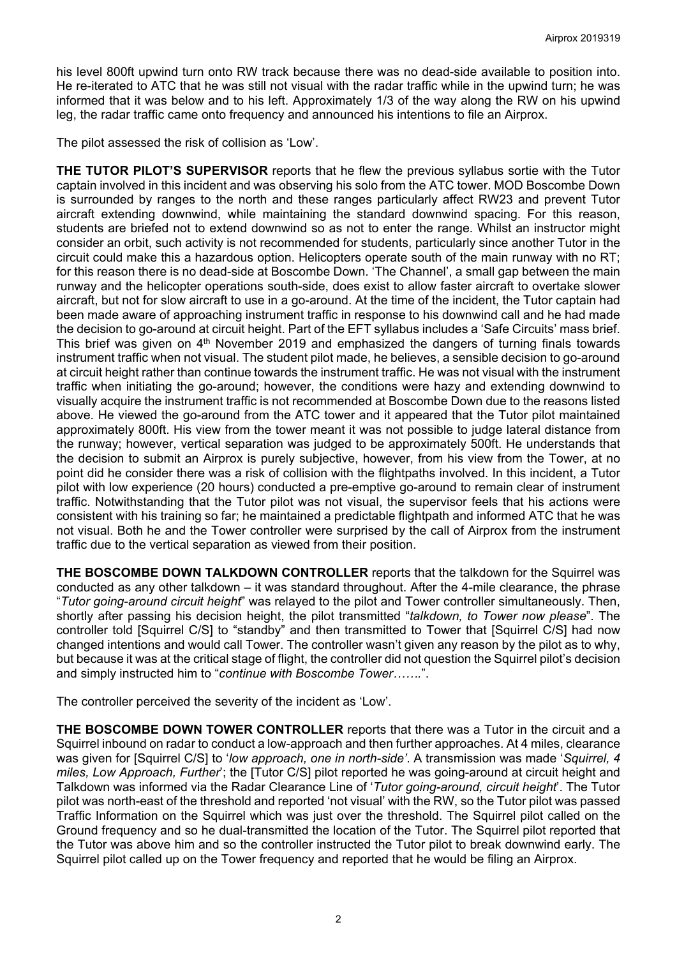his level 800ft upwind turn onto RW track because there was no dead-side available to position into. He re-iterated to ATC that he was still not visual with the radar traffic while in the upwind turn; he was informed that it was below and to his left. Approximately 1/3 of the way along the RW on his upwind leg, the radar traffic came onto frequency and announced his intentions to file an Airprox.

The pilot assessed the risk of collision as 'Low'.

**THE TUTOR PILOT'S SUPERVISOR** reports that he flew the previous syllabus sortie with the Tutor captain involved in this incident and was observing his solo from the ATC tower. MOD Boscombe Down is surrounded by ranges to the north and these ranges particularly affect RW23 and prevent Tutor aircraft extending downwind, while maintaining the standard downwind spacing. For this reason, students are briefed not to extend downwind so as not to enter the range. Whilst an instructor might consider an orbit, such activity is not recommended for students, particularly since another Tutor in the circuit could make this a hazardous option. Helicopters operate south of the main runway with no RT; for this reason there is no dead-side at Boscombe Down. 'The Channel', a small gap between the main runway and the helicopter operations south-side, does exist to allow faster aircraft to overtake slower aircraft, but not for slow aircraft to use in a go-around. At the time of the incident, the Tutor captain had been made aware of approaching instrument traffic in response to his downwind call and he had made the decision to go-around at circuit height. Part of the EFT syllabus includes a 'Safe Circuits' mass brief. This brief was given on  $4<sup>th</sup>$  November 2019 and emphasized the dangers of turning finals towards instrument traffic when not visual. The student pilot made, he believes, a sensible decision to go-around at circuit height rather than continue towards the instrument traffic. He was not visual with the instrument traffic when initiating the go-around; however, the conditions were hazy and extending downwind to visually acquire the instrument traffic is not recommended at Boscombe Down due to the reasons listed above. He viewed the go-around from the ATC tower and it appeared that the Tutor pilot maintained approximately 800ft. His view from the tower meant it was not possible to judge lateral distance from the runway; however, vertical separation was judged to be approximately 500ft. He understands that the decision to submit an Airprox is purely subjective, however, from his view from the Tower, at no point did he consider there was a risk of collision with the flightpaths involved. In this incident, a Tutor pilot with low experience (20 hours) conducted a pre-emptive go-around to remain clear of instrument traffic. Notwithstanding that the Tutor pilot was not visual, the supervisor feels that his actions were consistent with his training so far; he maintained a predictable flightpath and informed ATC that he was not visual. Both he and the Tower controller were surprised by the call of Airprox from the instrument traffic due to the vertical separation as viewed from their position.

**THE BOSCOMBE DOWN TALKDOWN CONTROLLER** reports that the talkdown for the Squirrel was conducted as any other talkdown – it was standard throughout. After the 4-mile clearance, the phrase "*Tutor going-around circuit height*" was relayed to the pilot and Tower controller simultaneously. Then, shortly after passing his decision height, the pilot transmitted "*talkdown, to Tower now please*". The controller told [Squirrel C/S] to "standby" and then transmitted to Tower that [Squirrel C/S] had now changed intentions and would call Tower. The controller wasn't given any reason by the pilot as to why, but because it was at the critical stage of flight, the controller did not question the Squirrel pilot's decision and simply instructed him to "*continue with Boscombe Tower…….*".

The controller perceived the severity of the incident as 'Low'.

**THE BOSCOMBE DOWN TOWER CONTROLLER** reports that there was a Tutor in the circuit and a Squirrel inbound on radar to conduct a low-approach and then further approaches. At 4 miles, clearance was given for [Squirrel C/S] to '*low approach, one in north-side'*. A transmission was made '*Squirrel, 4 miles, Low Approach, Further*'; the [Tutor C/S] pilot reported he was going-around at circuit height and Talkdown was informed via the Radar Clearance Line of '*Tutor going-around, circuit height*'. The Tutor pilot was north-east of the threshold and reported 'not visual' with the RW, so the Tutor pilot was passed Traffic Information on the Squirrel which was just over the threshold. The Squirrel pilot called on the Ground frequency and so he dual-transmitted the location of the Tutor. The Squirrel pilot reported that the Tutor was above him and so the controller instructed the Tutor pilot to break downwind early. The Squirrel pilot called up on the Tower frequency and reported that he would be filing an Airprox.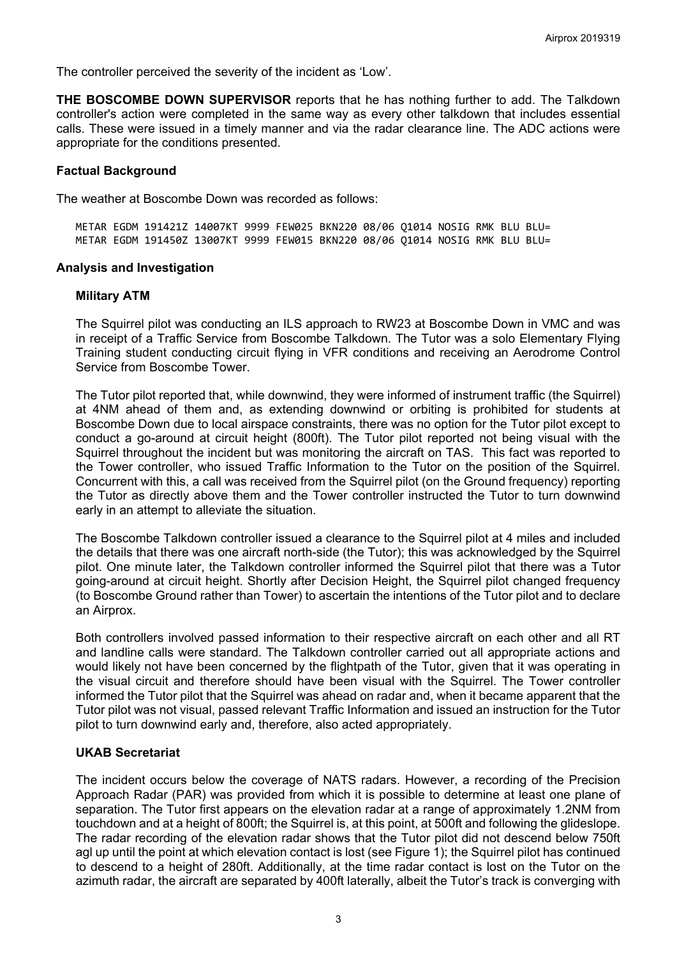The controller perceived the severity of the incident as 'Low'.

**THE BOSCOMBE DOWN SUPERVISOR** reports that he has nothing further to add. The Talkdown controller's action were completed in the same way as every other talkdown that includes essential calls. These were issued in a timely manner and via the radar clearance line. The ADC actions were appropriate for the conditions presented.

### **Factual Background**

The weather at Boscombe Down was recorded as follows:

METAR EGDM 191421Z 14007KT 9999 FEW025 BKN220 08/06 Q1014 NOSIG RMK BLU BLU= METAR EGDM 191450Z 13007KT 9999 FEW015 BKN220 08/06 Q1014 NOSIG RMK BLU BLU=

#### **Analysis and Investigation**

#### **Military ATM**

The Squirrel pilot was conducting an ILS approach to RW23 at Boscombe Down in VMC and was in receipt of a Traffic Service from Boscombe Talkdown. The Tutor was a solo Elementary Flying Training student conducting circuit flying in VFR conditions and receiving an Aerodrome Control Service from Boscombe Tower.

The Tutor pilot reported that, while downwind, they were informed of instrument traffic (the Squirrel) at 4NM ahead of them and, as extending downwind or orbiting is prohibited for students at Boscombe Down due to local airspace constraints, there was no option for the Tutor pilot except to conduct a go-around at circuit height (800ft). The Tutor pilot reported not being visual with the Squirrel throughout the incident but was monitoring the aircraft on TAS. This fact was reported to the Tower controller, who issued Traffic Information to the Tutor on the position of the Squirrel. Concurrent with this, a call was received from the Squirrel pilot (on the Ground frequency) reporting the Tutor as directly above them and the Tower controller instructed the Tutor to turn downwind early in an attempt to alleviate the situation.

The Boscombe Talkdown controller issued a clearance to the Squirrel pilot at 4 miles and included the details that there was one aircraft north-side (the Tutor); this was acknowledged by the Squirrel pilot. One minute later, the Talkdown controller informed the Squirrel pilot that there was a Tutor going-around at circuit height. Shortly after Decision Height, the Squirrel pilot changed frequency (to Boscombe Ground rather than Tower) to ascertain the intentions of the Tutor pilot and to declare an Airprox.

Both controllers involved passed information to their respective aircraft on each other and all RT and landline calls were standard. The Talkdown controller carried out all appropriate actions and would likely not have been concerned by the flightpath of the Tutor, given that it was operating in the visual circuit and therefore should have been visual with the Squirrel. The Tower controller informed the Tutor pilot that the Squirrel was ahead on radar and, when it became apparent that the Tutor pilot was not visual, passed relevant Traffic Information and issued an instruction for the Tutor pilot to turn downwind early and, therefore, also acted appropriately.

### **UKAB Secretariat**

The incident occurs below the coverage of NATS radars. However, a recording of the Precision Approach Radar (PAR) was provided from which it is possible to determine at least one plane of separation. The Tutor first appears on the elevation radar at a range of approximately 1.2NM from touchdown and at a height of 800ft; the Squirrel is, at this point, at 500ft and following the glideslope. The radar recording of the elevation radar shows that the Tutor pilot did not descend below 750ft agl up until the point at which elevation contact is lost (see Figure 1); the Squirrel pilot has continued to descend to a height of 280ft. Additionally, at the time radar contact is lost on the Tutor on the azimuth radar, the aircraft are separated by 400ft laterally, albeit the Tutor's track is converging with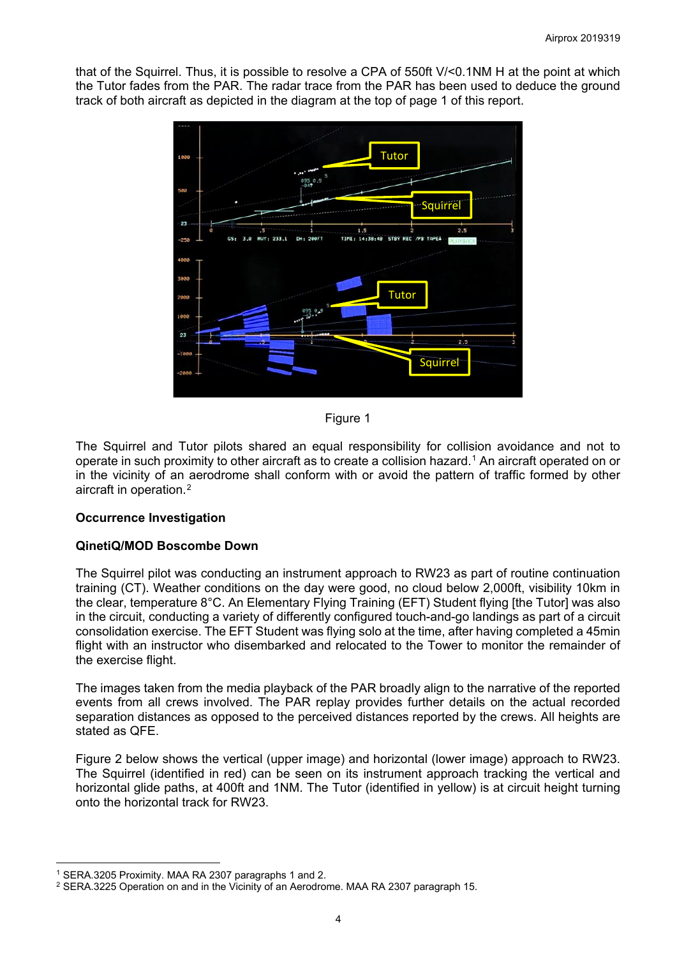that of the Squirrel. Thus, it is possible to resolve a CPA of 550ft V/<0.1NM H at the point at which the Tutor fades from the PAR. The radar trace from the PAR has been used to deduce the ground track of both aircraft as depicted in the diagram at the top of page 1 of this report.



Figure 1

The Squirrel and Tutor pilots shared an equal responsibility for collision avoidance and not to operate in such proximity to other aircraft as to create a collision hazard.<sup>[1](#page-3-0)</sup> An aircraft operated on or in the vicinity of an aerodrome shall conform with or avoid the pattern of traffic formed by other aircraft in operation.[2](#page-3-1)

## **Occurrence Investigation**

# **QinetiQ/MOD Boscombe Down**

The Squirrel pilot was conducting an instrument approach to RW23 as part of routine continuation training (CT). Weather conditions on the day were good, no cloud below 2,000ft, visibility 10km in the clear, temperature 8°C. An Elementary Flying Training (EFT) Student flying [the Tutor] was also in the circuit, conducting a variety of differently configured touch-and-go landings as part of a circuit consolidation exercise. The EFT Student was flying solo at the time, after having completed a 45min flight with an instructor who disembarked and relocated to the Tower to monitor the remainder of the exercise flight.

The images taken from the media playback of the PAR broadly align to the narrative of the reported events from all crews involved. The PAR replay provides further details on the actual recorded separation distances as opposed to the perceived distances reported by the crews. All heights are stated as QFE.

Figure 2 below shows the vertical (upper image) and horizontal (lower image) approach to RW23. The Squirrel (identified in red) can be seen on its instrument approach tracking the vertical and horizontal glide paths, at 400ft and 1NM. The Tutor (identified in yellow) is at circuit height turning onto the horizontal track for RW23.

 $\overline{\phantom{a}}$ <sup>1</sup> SERA.3205 Proximity. MAA RA 2307 paragraphs 1 and 2.

<span id="page-3-1"></span><span id="page-3-0"></span><sup>2</sup> SERA.3225 Operation on and in the Vicinity of an Aerodrome. MAA RA 2307 paragraph 15.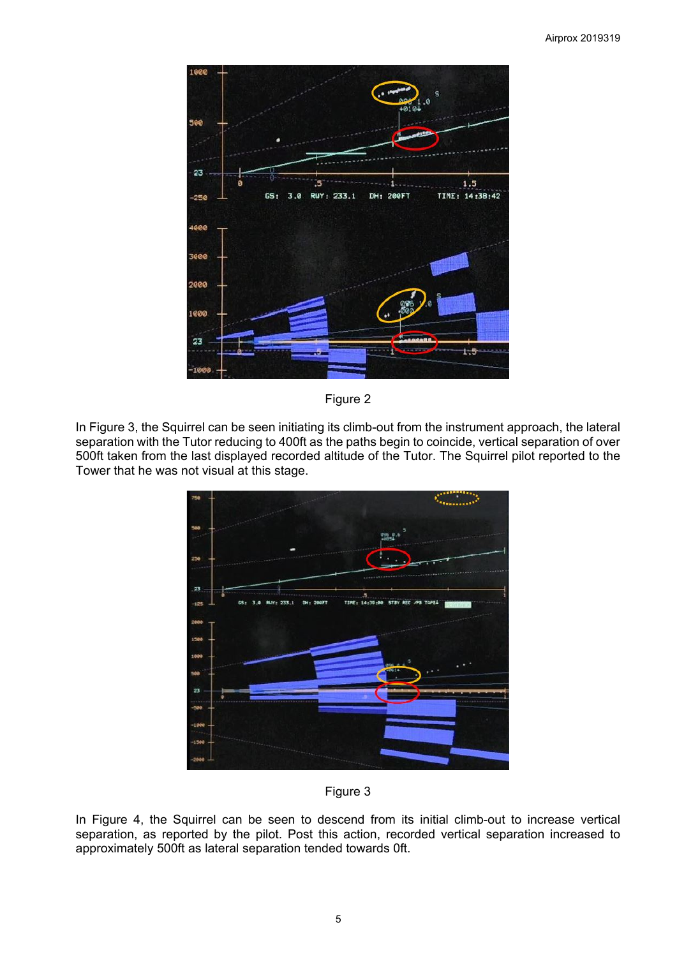

Figure 2

In Figure 3, the Squirrel can be seen initiating its climb-out from the instrument approach, the lateral separation with the Tutor reducing to 400ft as the paths begin to coincide, vertical separation of over 500ft taken from the last displayed recorded altitude of the Tutor. The Squirrel pilot reported to the Tower that he was not visual at this stage.





In Figure 4, the Squirrel can be seen to descend from its initial climb-out to increase vertical separation, as reported by the pilot. Post this action, recorded vertical separation increased to approximately 500ft as lateral separation tended towards 0ft.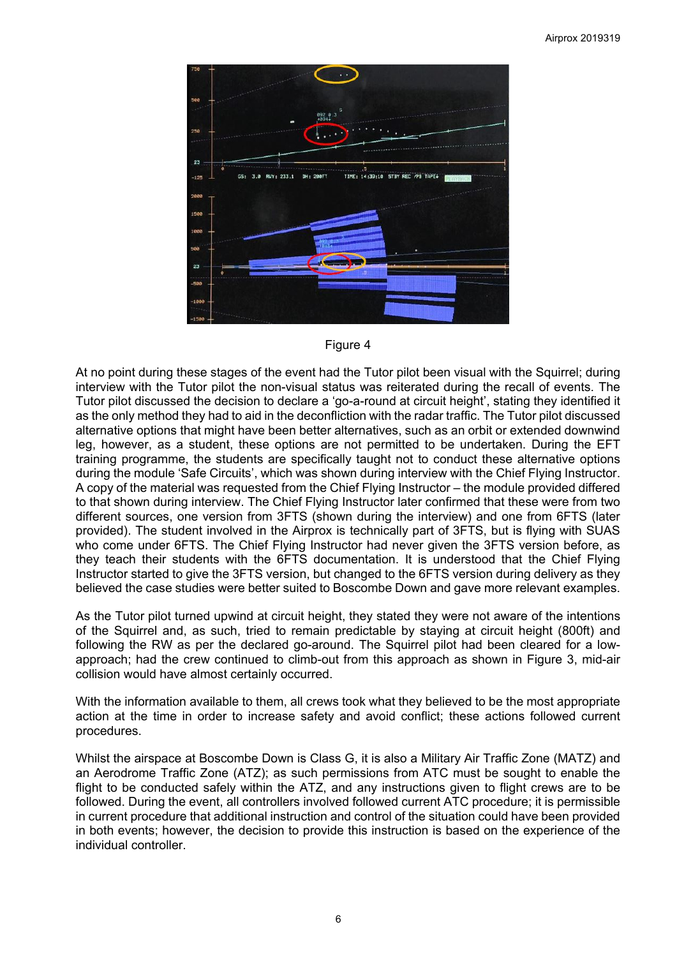



At no point during these stages of the event had the Tutor pilot been visual with the Squirrel; during interview with the Tutor pilot the non-visual status was reiterated during the recall of events. The Tutor pilot discussed the decision to declare a 'go-a-round at circuit height', stating they identified it as the only method they had to aid in the deconfliction with the radar traffic. The Tutor pilot discussed alternative options that might have been better alternatives, such as an orbit or extended downwind leg, however, as a student, these options are not permitted to be undertaken. During the EFT training programme, the students are specifically taught not to conduct these alternative options during the module 'Safe Circuits', which was shown during interview with the Chief Flying Instructor. A copy of the material was requested from the Chief Flying Instructor – the module provided differed to that shown during interview. The Chief Flying Instructor later confirmed that these were from two different sources, one version from 3FTS (shown during the interview) and one from 6FTS (later provided). The student involved in the Airprox is technically part of 3FTS, but is flying with SUAS who come under 6FTS. The Chief Flying Instructor had never given the 3FTS version before, as they teach their students with the 6FTS documentation. It is understood that the Chief Flying Instructor started to give the 3FTS version, but changed to the 6FTS version during delivery as they believed the case studies were better suited to Boscombe Down and gave more relevant examples.

As the Tutor pilot turned upwind at circuit height, they stated they were not aware of the intentions of the Squirrel and, as such, tried to remain predictable by staying at circuit height (800ft) and following the RW as per the declared go-around. The Squirrel pilot had been cleared for a lowapproach; had the crew continued to climb-out from this approach as shown in Figure 3, mid-air collision would have almost certainly occurred.

With the information available to them, all crews took what they believed to be the most appropriate action at the time in order to increase safety and avoid conflict; these actions followed current procedures.

Whilst the airspace at Boscombe Down is Class G, it is also a Military Air Traffic Zone (MATZ) and an Aerodrome Traffic Zone (ATZ); as such permissions from ATC must be sought to enable the flight to be conducted safely within the ATZ, and any instructions given to flight crews are to be followed. During the event, all controllers involved followed current ATC procedure; it is permissible in current procedure that additional instruction and control of the situation could have been provided in both events; however, the decision to provide this instruction is based on the experience of the individual controller.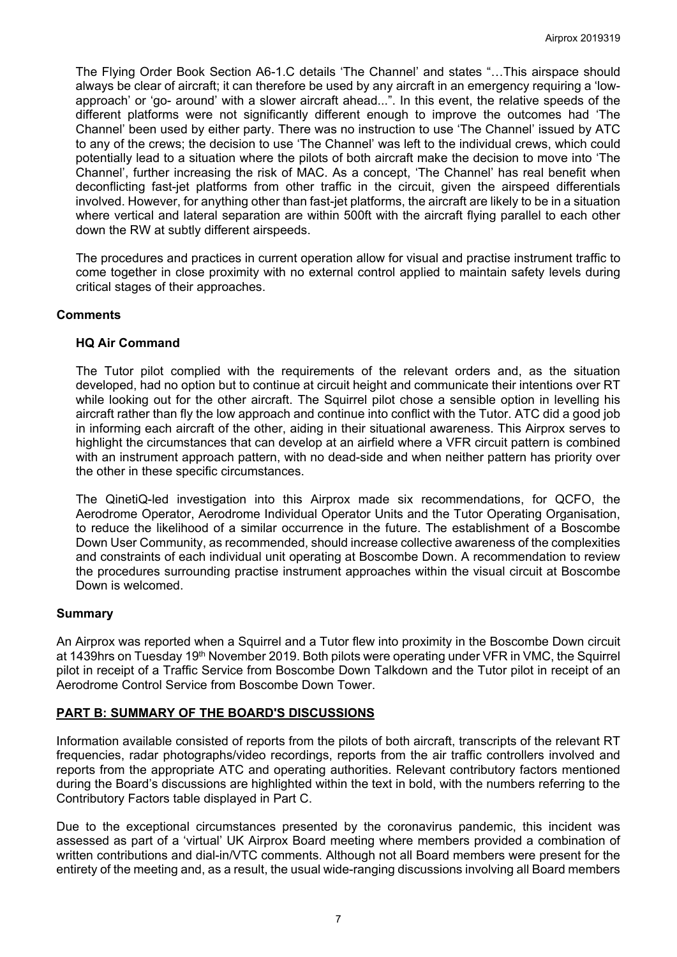The Flying Order Book Section A6-1.C details 'The Channel' and states "…This airspace should always be clear of aircraft; it can therefore be used by any aircraft in an emergency requiring a 'lowapproach' or 'go- around' with a slower aircraft ahead...". In this event, the relative speeds of the different platforms were not significantly different enough to improve the outcomes had 'The Channel' been used by either party. There was no instruction to use 'The Channel' issued by ATC to any of the crews; the decision to use 'The Channel' was left to the individual crews, which could potentially lead to a situation where the pilots of both aircraft make the decision to move into 'The Channel', further increasing the risk of MAC. As a concept, 'The Channel' has real benefit when deconflicting fast-jet platforms from other traffic in the circuit, given the airspeed differentials involved. However, for anything other than fast-jet platforms, the aircraft are likely to be in a situation where vertical and lateral separation are within 500ft with the aircraft flying parallel to each other down the RW at subtly different airspeeds.

The procedures and practices in current operation allow for visual and practise instrument traffic to come together in close proximity with no external control applied to maintain safety levels during critical stages of their approaches.

## **Comments**

### **HQ Air Command**

The Tutor pilot complied with the requirements of the relevant orders and, as the situation developed, had no option but to continue at circuit height and communicate their intentions over RT while looking out for the other aircraft. The Squirrel pilot chose a sensible option in levelling his aircraft rather than fly the low approach and continue into conflict with the Tutor. ATC did a good job in informing each aircraft of the other, aiding in their situational awareness. This Airprox serves to highlight the circumstances that can develop at an airfield where a VFR circuit pattern is combined with an instrument approach pattern, with no dead-side and when neither pattern has priority over the other in these specific circumstances.

The QinetiQ-led investigation into this Airprox made six recommendations, for QCFO, the Aerodrome Operator, Aerodrome Individual Operator Units and the Tutor Operating Organisation, to reduce the likelihood of a similar occurrence in the future. The establishment of a Boscombe Down User Community, as recommended, should increase collective awareness of the complexities and constraints of each individual unit operating at Boscombe Down. A recommendation to review the procedures surrounding practise instrument approaches within the visual circuit at Boscombe Down is welcomed.

### **Summary**

An Airprox was reported when a Squirrel and a Tutor flew into proximity in the Boscombe Down circuit at 1439hrs on Tuesday 19<sup>th</sup> November 2019. Both pilots were operating under VFR in VMC, the Squirrel pilot in receipt of a Traffic Service from Boscombe Down Talkdown and the Tutor pilot in receipt of an Aerodrome Control Service from Boscombe Down Tower.

## **PART B: SUMMARY OF THE BOARD'S DISCUSSIONS**

Information available consisted of reports from the pilots of both aircraft, transcripts of the relevant RT frequencies, radar photographs/video recordings, reports from the air traffic controllers involved and reports from the appropriate ATC and operating authorities. Relevant contributory factors mentioned during the Board's discussions are highlighted within the text in bold, with the numbers referring to the Contributory Factors table displayed in Part C.

Due to the exceptional circumstances presented by the coronavirus pandemic, this incident was assessed as part of a 'virtual' UK Airprox Board meeting where members provided a combination of written contributions and dial-in/VTC comments. Although not all Board members were present for the entirety of the meeting and, as a result, the usual wide-ranging discussions involving all Board members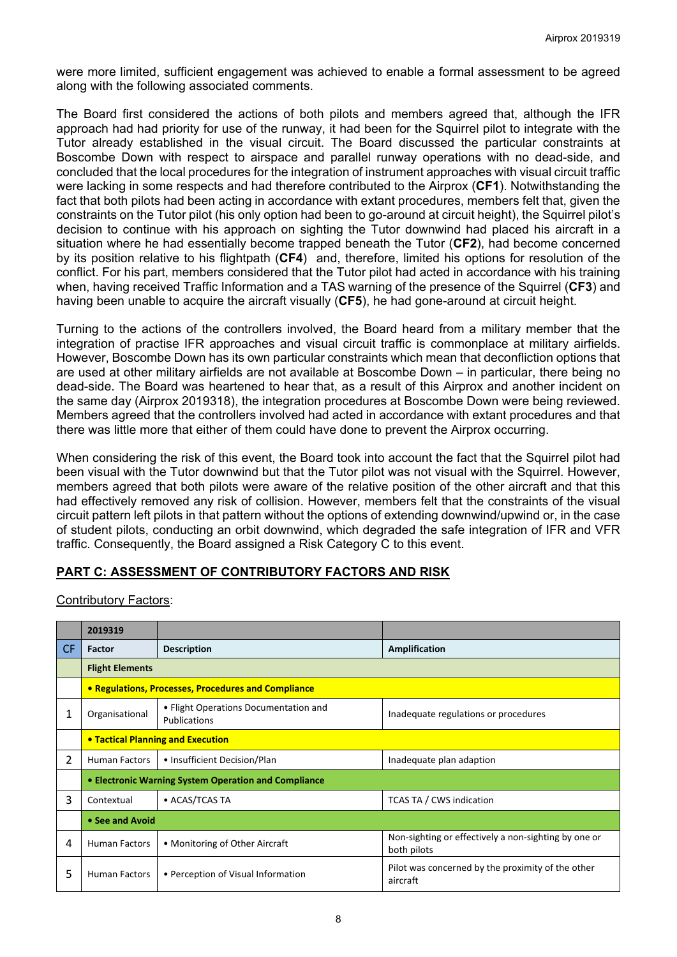were more limited, sufficient engagement was achieved to enable a formal assessment to be agreed along with the following associated comments.

The Board first considered the actions of both pilots and members agreed that, although the IFR approach had had priority for use of the runway, it had been for the Squirrel pilot to integrate with the Tutor already established in the visual circuit. The Board discussed the particular constraints at Boscombe Down with respect to airspace and parallel runway operations with no dead-side, and concluded that the local procedures for the integration of instrument approaches with visual circuit traffic were lacking in some respects and had therefore contributed to the Airprox (**CF1**). Notwithstanding the fact that both pilots had been acting in accordance with extant procedures, members felt that, given the constraints on the Tutor pilot (his only option had been to go-around at circuit height), the Squirrel pilot's decision to continue with his approach on sighting the Tutor downwind had placed his aircraft in a situation where he had essentially become trapped beneath the Tutor (**CF2**), had become concerned by its position relative to his flightpath (**CF4**) and, therefore, limited his options for resolution of the conflict. For his part, members considered that the Tutor pilot had acted in accordance with his training when, having received Traffic Information and a TAS warning of the presence of the Squirrel (**CF3**) and having been unable to acquire the aircraft visually (**CF5**), he had gone-around at circuit height.

Turning to the actions of the controllers involved, the Board heard from a military member that the integration of practise IFR approaches and visual circuit traffic is commonplace at military airfields. However, Boscombe Down has its own particular constraints which mean that deconfliction options that are used at other military airfields are not available at Boscombe Down – in particular, there being no dead-side. The Board was heartened to hear that, as a result of this Airprox and another incident on the same day (Airprox 2019318), the integration procedures at Boscombe Down were being reviewed. Members agreed that the controllers involved had acted in accordance with extant procedures and that there was little more that either of them could have done to prevent the Airprox occurring.

When considering the risk of this event, the Board took into account the fact that the Squirrel pilot had been visual with the Tutor downwind but that the Tutor pilot was not visual with the Squirrel. However, members agreed that both pilots were aware of the relative position of the other aircraft and that this had effectively removed any risk of collision. However, members felt that the constraints of the visual circuit pattern left pilots in that pattern without the options of extending downwind/upwind or, in the case of student pilots, conducting an orbit downwind, which degraded the safe integration of IFR and VFR traffic. Consequently, the Board assigned a Risk Category C to this event.

# **PART C: ASSESSMENT OF CONTRIBUTORY FACTORS AND RISK**

Contributory Factors:

|                | 2019319                                              |                                                       |                                                                     |  |  |  |  |  |  |  |
|----------------|------------------------------------------------------|-------------------------------------------------------|---------------------------------------------------------------------|--|--|--|--|--|--|--|
| CF.            | Factor                                               | <b>Description</b>                                    | Amplification                                                       |  |  |  |  |  |  |  |
|                | <b>Flight Elements</b>                               |                                                       |                                                                     |  |  |  |  |  |  |  |
|                | • Regulations, Processes, Procedures and Compliance  |                                                       |                                                                     |  |  |  |  |  |  |  |
| 1              | Organisational                                       | • Flight Operations Documentation and<br>Publications | Inadequate regulations or procedures                                |  |  |  |  |  |  |  |
|                | <b>• Tactical Planning and Execution</b>             |                                                       |                                                                     |  |  |  |  |  |  |  |
| $\overline{2}$ | <b>Human Factors</b>                                 | • Insufficient Decision/Plan                          | Inadequate plan adaption                                            |  |  |  |  |  |  |  |
|                | • Electronic Warning System Operation and Compliance |                                                       |                                                                     |  |  |  |  |  |  |  |
| 3              | • ACAS/TCAS TA<br>Contextual                         |                                                       | <b>TCAS TA / CWS indication</b>                                     |  |  |  |  |  |  |  |
|                | • See and Avoid                                      |                                                       |                                                                     |  |  |  |  |  |  |  |
| 4              | <b>Human Factors</b>                                 | • Monitoring of Other Aircraft                        | Non-sighting or effectively a non-sighting by one or<br>both pilots |  |  |  |  |  |  |  |
| 5              | <b>Human Factors</b>                                 | • Perception of Visual Information                    | Pilot was concerned by the proximity of the other<br>aircraft       |  |  |  |  |  |  |  |